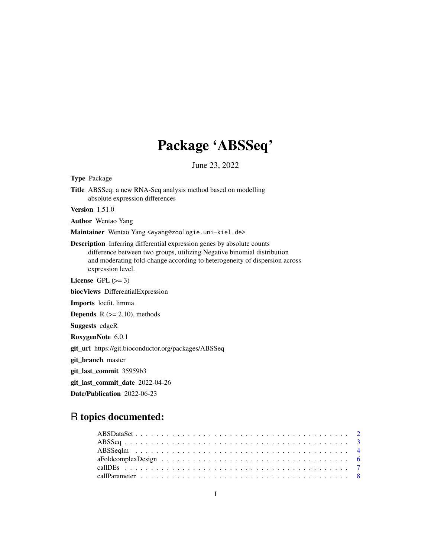# Package 'ABSSeq'

June 23, 2022

<span id="page-0-0"></span>

| <b>Type Package</b>                                                                                                                                                                                                                                         |
|-------------------------------------------------------------------------------------------------------------------------------------------------------------------------------------------------------------------------------------------------------------|
| <b>Title</b> ABSSeq: a new RNA-Seq analysis method based on modelling<br>absolute expression differences                                                                                                                                                    |
| Version $1.51.0$                                                                                                                                                                                                                                            |
| <b>Author</b> Wentao Yang                                                                                                                                                                                                                                   |
| Maintainer Wentao Yang <wyang@zoologie.uni-kiel.de></wyang@zoologie.uni-kiel.de>                                                                                                                                                                            |
| <b>Description</b> Inferring differential expression genes by absolute counts<br>difference between two groups, utilizing Negative binomial distribution<br>and moderating fold-change according to heterogeneity of dispersion across<br>expression level. |
| License GPL $(>= 3)$                                                                                                                                                                                                                                        |
| biocViews DifferentialExpression                                                                                                                                                                                                                            |
| Imports locfit, limma                                                                                                                                                                                                                                       |
| <b>Depends</b> $R$ ( $>= 2.10$ ), methods                                                                                                                                                                                                                   |
| <b>Suggests</b> edgeR                                                                                                                                                                                                                                       |
| RoxygenNote 6.0.1                                                                                                                                                                                                                                           |
| git_url https://git.bioconductor.org/packages/ABSSeq                                                                                                                                                                                                        |
| git_branch master                                                                                                                                                                                                                                           |
| git_last_commit 35959b3                                                                                                                                                                                                                                     |
| git_last_commit_date 2022-04-26                                                                                                                                                                                                                             |
| Date/Publication 2022-06-23                                                                                                                                                                                                                                 |
|                                                                                                                                                                                                                                                             |

## R topics documented: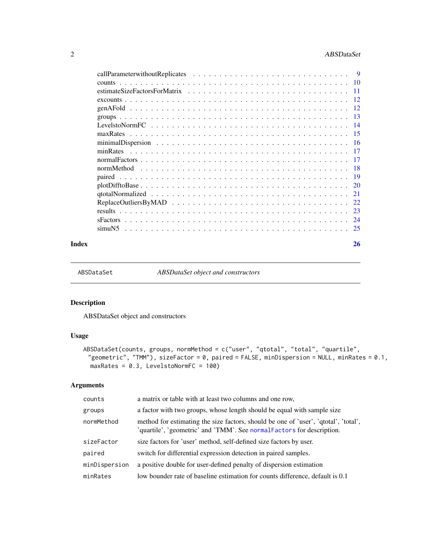### <span id="page-1-0"></span>2 ABSDataSet

|         |  |  |  |  |  |  |  |  |  |  |  |  | <b>9</b> |
|---------|--|--|--|--|--|--|--|--|--|--|--|--|----------|
|         |  |  |  |  |  |  |  |  |  |  |  |  |          |
|         |  |  |  |  |  |  |  |  |  |  |  |  | $-11$    |
|         |  |  |  |  |  |  |  |  |  |  |  |  |          |
|         |  |  |  |  |  |  |  |  |  |  |  |  |          |
|         |  |  |  |  |  |  |  |  |  |  |  |  |          |
|         |  |  |  |  |  |  |  |  |  |  |  |  |          |
|         |  |  |  |  |  |  |  |  |  |  |  |  |          |
|         |  |  |  |  |  |  |  |  |  |  |  |  |          |
|         |  |  |  |  |  |  |  |  |  |  |  |  |          |
|         |  |  |  |  |  |  |  |  |  |  |  |  |          |
|         |  |  |  |  |  |  |  |  |  |  |  |  |          |
|         |  |  |  |  |  |  |  |  |  |  |  |  |          |
|         |  |  |  |  |  |  |  |  |  |  |  |  |          |
|         |  |  |  |  |  |  |  |  |  |  |  |  |          |
|         |  |  |  |  |  |  |  |  |  |  |  |  |          |
|         |  |  |  |  |  |  |  |  |  |  |  |  |          |
|         |  |  |  |  |  |  |  |  |  |  |  |  |          |
| simuN5. |  |  |  |  |  |  |  |  |  |  |  |  |          |
|         |  |  |  |  |  |  |  |  |  |  |  |  |          |

#### **Index** [26](#page-25-0)

<span id="page-1-1"></span>ABSDataSet *ABSDataSet object and constructors*

### Description

ABSDataSet object and constructors

### Usage

```
ABSDataSet(counts, groups, normMethod = c("user", "qtotal", "total", "quartile",
 "geometric", "TMM"), sizeFactor = 0, paired = FALSE, minDispersion = NULL, minRates = 0.1,
 maxRates = 0.3, LevelstoNormFC = 100)
```
### Arguments

| counts        | a matrix or table with at least two columns and one row,                                                                                                      |
|---------------|---------------------------------------------------------------------------------------------------------------------------------------------------------------|
| groups        | a factor with two groups, whose length should be equal with sample size                                                                                       |
| normMethod    | method for estimating the size factors, should be one of 'user', 'qtotal', 'total',<br>'quartile', 'geometric' and 'TMM'. See normal Factors for description. |
| sizeFactor    | size factors for 'user' method, self-defined size factors by user.                                                                                            |
| paired        | switch for differential expression detection in paired samples.                                                                                               |
| minDispersion | a positive double for user-defined penalty of dispersion estimation                                                                                           |
| minRates      | low bounder rate of baseline estimation for counts difference, default is 0.1                                                                                 |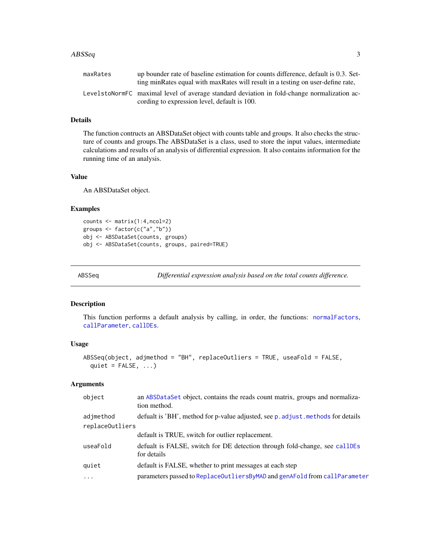#### <span id="page-2-0"></span> $\Delta BSS$ eq  $\Delta BSS$

| maxRates | up bounder rate of baseline estimation for counts difference, default is 0.3. Set-<br>ting minRates equal with maxRates will result in a testing on user-define rate, |
|----------|-----------------------------------------------------------------------------------------------------------------------------------------------------------------------|
|          | LevelstoNormFC maximal level of average standard deviation in fold-change normalization ac-<br>cording to expression level, default is 100.                           |

### Details

The function contructs an ABSDataSet object with counts table and groups. It also checks the structure of counts and groups.The ABSDataSet is a class, used to store the input values, intermediate calculations and results of an analysis of differential expression. It also contains information for the running time of an analysis.

#### Value

An ABSDataSet object.

### Examples

```
counts <- matrix(1:4,ncol=2)
groups <- factor(c("a","b"))
obj <- ABSDataSet(counts, groups)
obj <- ABSDataSet(counts, groups, paired=TRUE)
```
<span id="page-2-1"></span>ABSSeq *Differential expression analysis based on the total counts difference.*

#### Description

This function performs a default analysis by calling, in order, the functions: [normalFactors](#page-16-1), [callParameter](#page-7-1), [callDEs](#page-6-1).

### Usage

```
ABSSeq(object, adjmethod = "BH", replaceOutliers = TRUE, useaFold = FALSE,
 quiet = FALSE, ...)
```
### Arguments

| object                       | an ABSDataSet object, contains the reads count matrix, groups and normaliza-<br>tion method. |
|------------------------------|----------------------------------------------------------------------------------------------|
| adjmethod<br>replaceOutliers | defualt is 'BH', method for p-value adjusted, see p. adjust. methods for details             |
|                              | default is TRUE, switch for outlier replacement.                                             |
| useaFold                     | defualt is FALSE, switch for DE detection through fold-change, see callDEs<br>for details    |
| quiet                        | default is FALSE, whether to print messages at each step                                     |
| $\ddots$ .                   | parameters passed to ReplaceOutliersByMAD and genAFold from callParameter                    |
|                              |                                                                                              |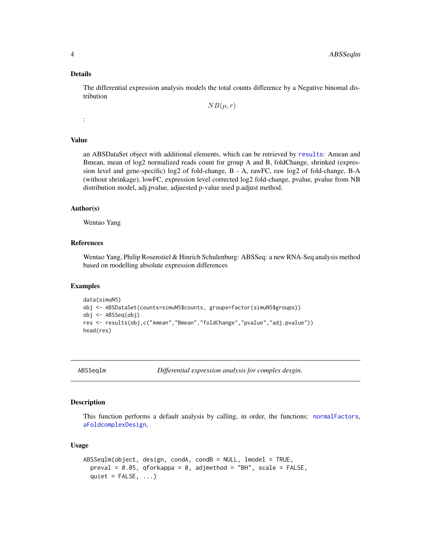#### Details

The differential expression analysis models the total counts difference by a Negative binomal distribution

 $NB(\mu, r)$ 

:

### Value

an ABSDataSet object with additional elements, which can be retrieved by [results](#page-22-1): Amean and Bmean, mean of log2 normalized reads count for group A and B, foldChange, shrinked (expression level and gene-specific) log2 of fold-change, B - A, rawFC, raw log2 of fold-change, B-A (without shrinkage), lowFC, expression level corrected log2 fold-change, pvalue, pvalue from NB distribution model, adj.pvalue, adjuested p-value used p.adjust method.

### Author(s)

Wentao Yang

#### References

Wentao Yang, Philip Rosenstiel & Hinrich Schulenburg: ABSSeq: a new RNA-Seq analysis method based on modelling absolute expression differences

#### Examples

```
data(simuN5)
obj <- ABSDataSet(counts=simuN5$counts, groups=factor(simuN5$groups))
obj <- ABSSeq(obj)
res <- results(obj,c("Amean","Bmean","foldChange","pvalue","adj.pvalue"))
head(res)
```
ABSSeqlm *Differential expression analysis for complex desgin.*

### Description

This function performs a default analysis by calling, in order, the functions: [normalFactors](#page-16-1), [aFoldcomplexDesign](#page-5-1),

#### Usage

```
ABSSeqlm(object, design, condA, condB = NULL, lmodel = TRUE,
 preval = 0.05, qforkappa = 0, adjmethod = "BH", scale = FALSE,quiet = FALSE, ...)
```
<span id="page-3-0"></span>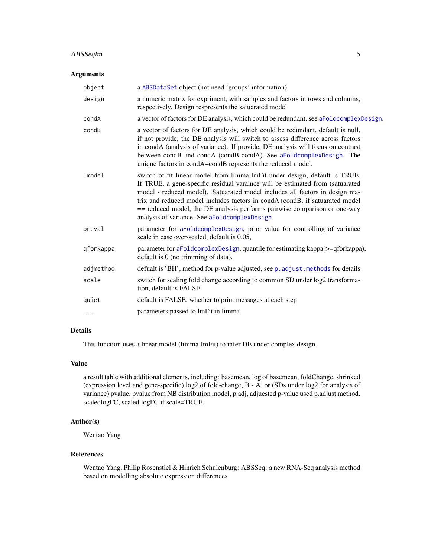### <span id="page-4-0"></span>ABSSeqlm 5

### Arguments

| object    | a ABSDataSet object (not need 'groups' information).                                                                                                                                                                                                                                                                                                                                                                                                    |
|-----------|---------------------------------------------------------------------------------------------------------------------------------------------------------------------------------------------------------------------------------------------------------------------------------------------------------------------------------------------------------------------------------------------------------------------------------------------------------|
| design    | a numeric matrix for expriment, with samples and factors in rows and colnums,<br>respectively. Design respresents the satuarated model.                                                                                                                                                                                                                                                                                                                 |
| condA     | a vector of factors for DE analysis, which could be redundant, see aFoldcomplexDesign.                                                                                                                                                                                                                                                                                                                                                                  |
| condB     | a vector of factors for DE analysis, which could be redundant, default is null,<br>if not provide, the DE analysis will switch to assess difference across factors<br>in condA (analysis of variance). If provide, DE analysis will focus on contrast<br>between condB and condA (condB-condA). See aFoldcomplexDesign. The<br>unique factors in condA+condB represents the reduced model.                                                              |
| lmode1    | switch of fit linear model from limma-lmFit under design, default is TRUE.<br>If TRUE, a gene-specific residual varaince will be estimated from (satuarated<br>model - reduced model). Satuarated model includes all factors in design ma-<br>trix and reduced model includes factors in condA+condB. if satuarated model<br>== reduced model, the DE analysis performs pairwise comparison or one-way<br>analysis of variance. See aFoldcomplexDesign. |
| preval    | parameter for aFoldcomplexDesign, prior value for controlling of variance<br>scale in case over-scaled, default is 0.05,                                                                                                                                                                                                                                                                                                                                |
| qforkappa | parameter for aFoldcomplexDesign, quantile for estimating kappa(>=qforkappa),<br>default is 0 (no trimming of data).                                                                                                                                                                                                                                                                                                                                    |
| adjmethod | defualt is 'BH', method for p-value adjusted, see p. adjust. methods for details                                                                                                                                                                                                                                                                                                                                                                        |
| scale     | switch for scaling fold change according to common SD under log2 transforma-<br>tion, default is FALSE.                                                                                                                                                                                                                                                                                                                                                 |
| quiet     | default is FALSE, whether to print messages at each step                                                                                                                                                                                                                                                                                                                                                                                                |
| .         | parameters passed to lmFit in limma                                                                                                                                                                                                                                                                                                                                                                                                                     |
|           |                                                                                                                                                                                                                                                                                                                                                                                                                                                         |

### Details

This function uses a linear model (limma-lmFit) to infer DE under complex design.

### Value

a result table with additional elements, including: basemean, log of basemean, foldChange, shrinked (expression level and gene-specific) log2 of fold-change, B - A, or (SDs under log2 for analysis of variance) pvalue, pvalue from NB distribution model, p.adj, adjuested p-value used p.adjust method. scaledlogFC, scaled logFC if scale=TRUE.

### Author(s)

Wentao Yang

#### References

Wentao Yang, Philip Rosenstiel & Hinrich Schulenburg: ABSSeq: a new RNA-Seq analysis method based on modelling absolute expression differences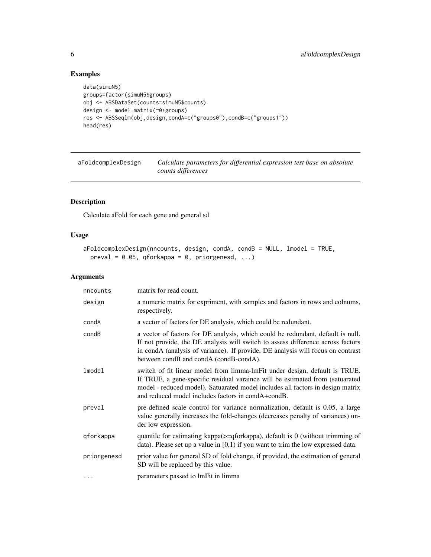### Examples

```
data(simuN5)
groups=factor(simuN5$groups)
obj <- ABSDataSet(counts=simuN5$counts)
design <- model.matrix(~0+groups)
res <- ABSSeqlm(obj,design,condA=c("groups0"),condB=c("groups1"))
head(res)
```
<span id="page-5-1"></span>aFoldcomplexDesign *Calculate parameters for differential expression test base on absolute counts differences*

### Description

Calculate aFold for each gene and general sd

#### Usage

```
aFoldcomplexDesign(nncounts, design, condA, condB = NULL, lmodel = TRUE,
 preval = 0.05, qforkappa = 0, priorgenesd, ...)
```
### Arguments

| nncounts    | matrix for read count.                                                                                                                                                                                                                                                                              |
|-------------|-----------------------------------------------------------------------------------------------------------------------------------------------------------------------------------------------------------------------------------------------------------------------------------------------------|
| design      | a numeric matrix for expriment, with samples and factors in rows and colnums,<br>respectively.                                                                                                                                                                                                      |
| condA       | a vector of factors for DE analysis, which could be redundant.                                                                                                                                                                                                                                      |
| condB       | a vector of factors for DE analysis, which could be redundant, default is null.<br>If not provide, the DE analysis will switch to assess difference across factors<br>in condA (analysis of variance). If provide, DE analysis will focus on contrast<br>between condB and condA (condB-condA).     |
| lmodel      | switch of fit linear model from limma-lmFit under design, default is TRUE.<br>If TRUE, a gene-specific residual varaince will be estimated from (satuarated<br>model - reduced model). Satuarated model includes all factors in design matrix<br>and reduced model includes factors in condA+condB. |
| preval      | pre-defined scale control for variance normalization, default is 0.05, a large<br>value generally increases the fold-changes (decreases penalty of variances) un-<br>der low expression.                                                                                                            |
| qforkappa   | quantile for estimating kappa( $>=$ qforkappa), default is 0 (without trimming of<br>data). Please set up a value in $[0,1)$ if you want to trim the low expressed data.                                                                                                                            |
| priorgenesd | prior value for general SD of fold change, if provided, the estimation of general<br>SD will be replaced by this value.                                                                                                                                                                             |
| $\cdots$    | parameters passed to lmFit in limma                                                                                                                                                                                                                                                                 |

<span id="page-5-0"></span>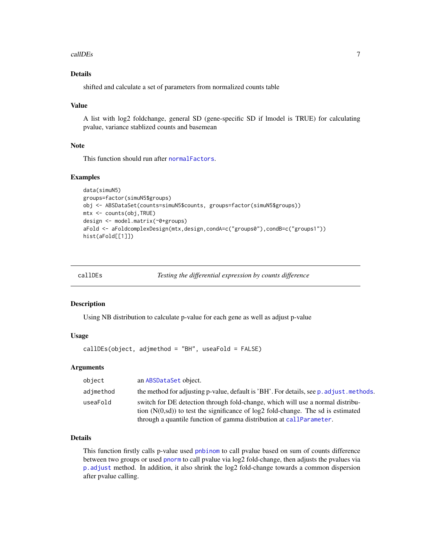#### <span id="page-6-0"></span>callDEs  $\sim$  7

### Details

shifted and calculate a set of parameters from normalized counts table

#### Value

A list with log2 foldchange, general SD (gene-specific SD if lmodel is TRUE) for calculating pvalue, variance stablized counts and basemean

#### Note

This function should run after [normalFactors](#page-16-1).

#### Examples

```
data(simuN5)
groups=factor(simuN5$groups)
obj <- ABSDataSet(counts=simuN5$counts, groups=factor(simuN5$groups))
mtx <- counts(obj,TRUE)
design <- model.matrix(~0+groups)
aFold <- aFoldcomplexDesign(mtx,design,condA=c("groups0"),condB=c("groups1"))
hist(aFold[[1]])
```
<span id="page-6-1"></span>callDEs *Testing the differential expression by counts difference*

#### Description

Using NB distribution to calculate p-value for each gene as well as adjust p-value

#### Usage

callDEs(object, adjmethod = "BH", useaFold = FALSE)

#### Arguments

| object    | an ABSDataSet object.                                                                                                                                                                                                                          |
|-----------|------------------------------------------------------------------------------------------------------------------------------------------------------------------------------------------------------------------------------------------------|
| adimethod | the method for adjusting p-value, default is 'BH'. For details, see p. adjust. methods.                                                                                                                                                        |
| useaFold  | switch for DE detection through fold-change, which will use a normal distribu-<br>tion $(N(0, sd))$ to test the significance of $log2$ fold-change. The sd is estimated<br>through a quantile function of gamma distribution at callParameter. |

### Details

This function firstly calls p-value used [pnbinom](#page-0-0) to call pvalue based on sum of counts difference between two groups or used [pnorm](#page-0-0) to call pvalue via log2 fold-change, then adjusts the pvalues via [p.adjust](#page-0-0) method. In addition, it also shrink the log2 fold-change towards a common dispersion after pvalue calling.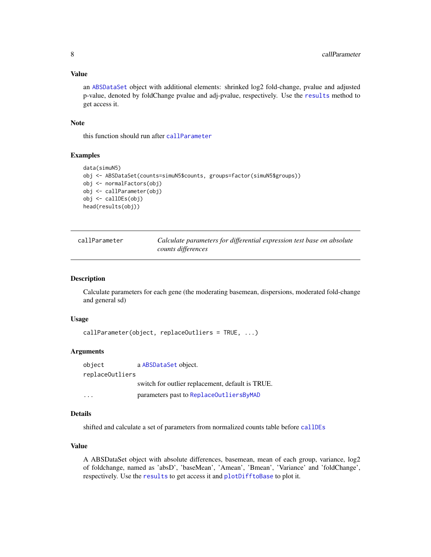#### <span id="page-7-0"></span>Value

an [ABSDataSet](#page-1-1) object with additional elements: shrinked log2 fold-change, pvalue and adjusted p-value, denoted by foldChange pvalue and adj-pvalue, respectively. Use the [results](#page-22-1) method to get access it.

#### Note

this function should run after [callParameter](#page-7-1)

#### Examples

```
data(simuN5)
obj <- ABSDataSet(counts=simuN5$counts, groups=factor(simuN5$groups))
obj <- normalFactors(obj)
obj <- callParameter(obj)
obj <- callDEs(obj)
head(results(obj))
```
<span id="page-7-1"></span>

| callParameter | Calculate parameters for differential expression test base on absolute<br>counts differences |
|---------------|----------------------------------------------------------------------------------------------|
|---------------|----------------------------------------------------------------------------------------------|

### Description

Calculate parameters for each gene (the moderating basemean, dispersions, moderated fold-change and general sd)

#### Usage

```
callParameter(object, replaceOutliers = TRUE, ...)
```
### Arguments

object a [ABSDataSet](#page-1-1) object. replaceOutliers switch for outlier replacement, default is TRUE. ... parameters past to [ReplaceOutliersByMAD](#page-21-1)

#### Details

shifted and calculate a set of parameters from normalized counts table before [callDEs](#page-6-1)

### Value

A ABSDataSet object with absolute differences, basemean, mean of each group, variance, log2 of foldchange, named as 'absD', 'baseMean', 'Amean', 'Bmean', 'Variance' and 'foldChange', respectively. Use the [results](#page-22-1) to get access it and [plotDifftoBase](#page-19-1) to plot it.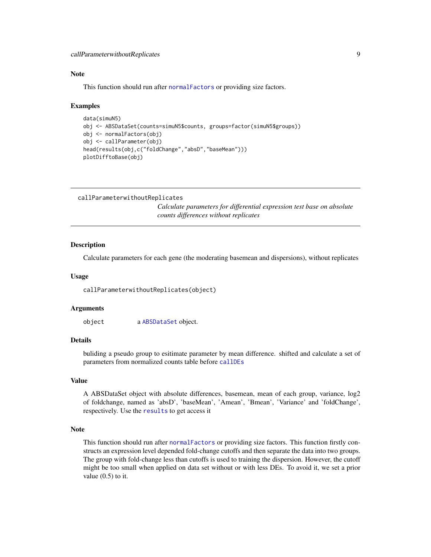### <span id="page-8-0"></span>Note

This function should run after [normalFactors](#page-16-1) or providing size factors.

#### Examples

```
data(simuN5)
obj <- ABSDataSet(counts=simuN5$counts, groups=factor(simuN5$groups))
obj <- normalFactors(obj)
obj <- callParameter(obj)
head(results(obj,c("foldChange","absD","baseMean")))
plotDifftoBase(obj)
```
callParameterwithoutReplicates *Calculate parameters for differential expression test base on absolute counts differences without replicates*

#### **Description**

Calculate parameters for each gene (the moderating basemean and dispersions), without replicates

#### Usage

callParameterwithoutReplicates(object)

### Arguments

object a [ABSDataSet](#page-1-1) object.

### Details

buliding a pseudo group to esitimate parameter by mean difference. shifted and calculate a set of parameters from normalized counts table before [callDEs](#page-6-1)

#### Value

A ABSDataSet object with absolute differences, basemean, mean of each group, variance, log2 of foldchange, named as 'absD', 'baseMean', 'Amean', 'Bmean', 'Variance' and 'foldChange', respectively. Use the [results](#page-22-1) to get access it

### Note

This function should run after [normalFactors](#page-16-1) or providing size factors. This function firstly constructs an expression level depended fold-change cutoffs and then separate the data into two groups. The group with fold-change less than cutoffs is used to training the dispersion. However, the cutoff might be too small when applied on data set without or with less DEs. To avoid it, we set a prior value  $(0.5)$  to it.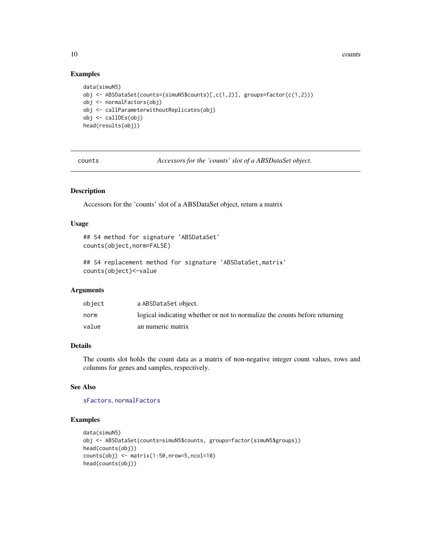<span id="page-9-0"></span>10 counts counts and  $\sim$  counts of  $\sim$  counts of  $\sim$  counts of  $\sim$  counts of  $\sim$  counts of  $\sim$  counts of  $\sim$  counts of  $\sim$  counts of  $\sim$  counts of  $\sim$  counts of  $\sim$  counts of  $\sim$  counts of  $\sim$  counts of  $\sim$  c

#### Examples

```
data(simuN5)
obj <- ABSDataSet(counts=(simuN5$counts)[,c(1,2)], groups=factor(c(1,2)))
obj <- normalFactors(obj)
obj <- callParameterwithoutReplicates(obj)
obj <- callDEs(obj)
head(results(obj))
```
counts *Accessors for the 'counts' slot of a ABSDataSet object.*

#### Description

Accessors for the 'counts' slot of a ABSDataSet object, return a matrix

#### Usage

```
## S4 method for signature 'ABSDataSet'
counts(object,norm=FALSE)
```

```
## S4 replacement method for signature 'ABSDataSet,matrix'
counts(object)<-value
```
### Arguments

| object | a ABSDataSet object.                                                       |
|--------|----------------------------------------------------------------------------|
| norm   | logical indicating whether or not to normalize the counts before returning |
| value  | an numeric matrix                                                          |

### Details

The counts slot holds the count data as a matrix of non-negative integer count values, rows and columns for genes and samples, respectively.

### See Also

[sFactors](#page-23-1), [normalFactors](#page-16-1)

```
data(simuN5)
obj <- ABSDataSet(counts=simuN5$counts, groups=factor(simuN5$groups))
head(counts(obj))
counts(obj) <- matrix(1:50,nrow=5,ncol=10)
head(counts(obj))
```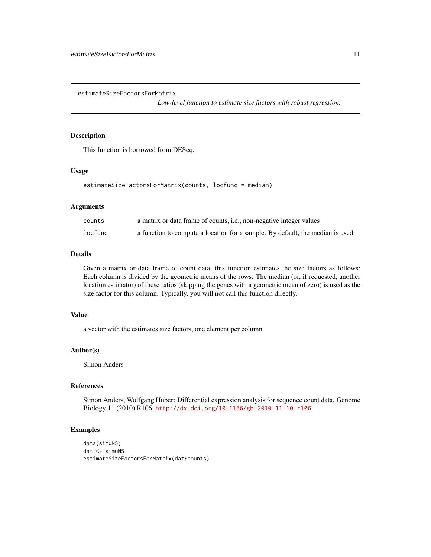<span id="page-10-0"></span>estimateSizeFactorsForMatrix

*Low-level function to estimate size factors with robust regression.*

#### Description

This function is borrowed from DESeq.

#### Usage

estimateSizeFactorsForMatrix(counts, locfunc = median)

#### Arguments

| counts  | a matrix or data frame of counts, <i>i.e.</i> , non-negative integer values    |
|---------|--------------------------------------------------------------------------------|
| locfunc | a function to compute a location for a sample. By default, the median is used. |

#### Details

Given a matrix or data frame of count data, this function estimates the size factors as follows: Each column is divided by the geometric means of the rows. The median (or, if requested, another location estimator) of these ratios (skipping the genes with a geometric mean of zero) is used as the size factor for this column. Typically, you will not call this function directly.

### Value

a vector with the estimates size factors, one element per column

#### Author(s)

Simon Anders

#### References

Simon Anders, Wolfgang Huber: Differential expression analysis for sequence count data. Genome Biology 11 (2010) R106, <http://dx.doi.org/10.1186/gb-2010-11-10-r106>

```
data(simuN5)
dat <- simuN5
estimateSizeFactorsForMatrix(dat$counts)
```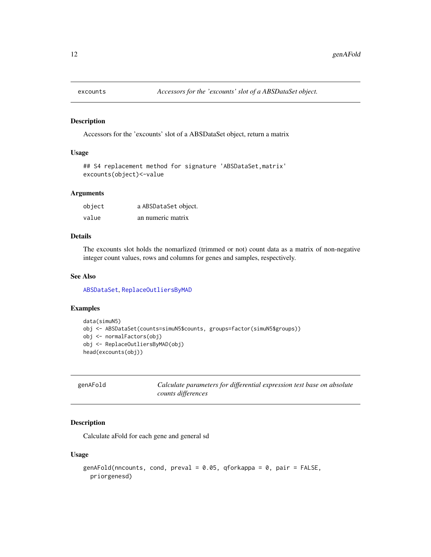<span id="page-11-2"></span><span id="page-11-0"></span>

Accessors for the 'excounts' slot of a ABSDataSet object, return a matrix

#### Usage

```
## S4 replacement method for signature 'ABSDataSet,matrix'
excounts(object)<-value
```
### Arguments

| object | a ABSDataSet object. |
|--------|----------------------|
| value  | an numeric matrix    |

### Details

The excounts slot holds the nomarlized (trimmed or not) count data as a matrix of non-negative integer count values, rows and columns for genes and samples, respectively.

#### See Also

[ABSDataSet](#page-1-1), [ReplaceOutliersByMAD](#page-21-1)

#### Examples

```
data(simuN5)
obj <- ABSDataSet(counts=simuN5$counts, groups=factor(simuN5$groups))
obj <- normalFactors(obj)
obj <- ReplaceOutliersByMAD(obj)
head(excounts(obj))
```
<span id="page-11-1"></span>genAFold *Calculate parameters for differential expression test base on absolute counts differences*

#### Description

Calculate aFold for each gene and general sd

### Usage

```
genAFold(nncounts, cond, preval = 0.05, qforkappa = 0, pair = FALSE,
 priorgenesd)
```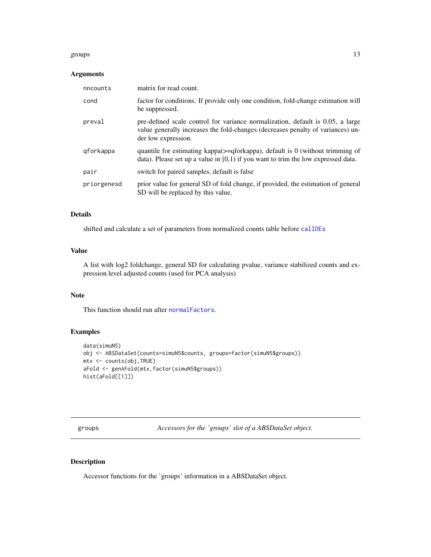#### <span id="page-12-0"></span>groups and the state of the state of the state of the state of the state of the state of the state of the state of the state of the state of the state of the state of the state of the state of the state of the state of the

### Arguments

| nncounts    | matrix for read count.                                                                                                                                                                   |
|-------------|------------------------------------------------------------------------------------------------------------------------------------------------------------------------------------------|
| cond        | factor for conditions. If provide only one condition, fold-change estimation will<br>be suppressed.                                                                                      |
| preval      | pre-defined scale control for variance normalization, default is 0.05, a large<br>value generally increases the fold-changes (decreases penalty of variances) un-<br>der low expression. |
| gforkappa   | quantile for estimating kappa $(>=$ qforkappa), default is 0 (without trimming of<br>data). Please set up a value in $[0,1)$ if you want to trim the low expressed data.                 |
| pair        | switch for paired samples, default is false                                                                                                                                              |
| priorgenesd | prior value for general SD of fold change, if provided, the estimation of general<br>SD will be replaced by this value.                                                                  |

### Details

shifted and calculate a set of parameters from normalized counts table before [callDEs](#page-6-1)

### Value

A list with log2 foldchange, general SD for calculating pvalue, variance stabilized counts and expression level adjusted counts (used for PCA analysis)

### Note

This function should run after [normalFactors](#page-16-1).

### Examples

```
data(simuN5)
obj <- ABSDataSet(counts=simuN5$counts, groups=factor(simuN5$groups))
mtx <- counts(obj,TRUE)
aFold <- genAFold(mtx,factor(simuN5$groups))
hist(aFold[[1]])
```
groups *Accessors for the 'groups' slot of a ABSDataSet object.*

#### Description

Accessor functions for the 'groups' information in a ABSDataSet object.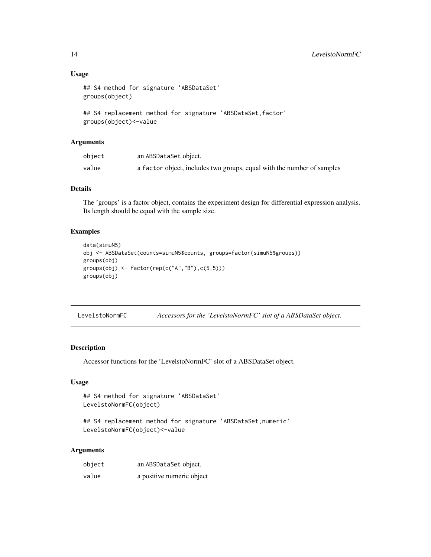### Usage

```
## S4 method for signature 'ABSDataSet'
groups(object)
```

```
## S4 replacement method for signature 'ABSDataSet, factor'
groups(object)<-value
```
#### Arguments

| object | an ABSDataSet object.                                                  |
|--------|------------------------------------------------------------------------|
| value  | a factor object, includes two groups, equal with the number of samples |

### Details

The 'groups' is a factor object, contains the experiment design for differential expression analysis. Its length should be equal with the sample size.

### Examples

```
data(simuN5)
obj <- ABSDataSet(counts=simuN5$counts, groups=factor(simuN5$groups))
groups(obj)
groups(obj) <- factor(rep(c("A","B"),c(5,5)))
groups(obj)
```

| LevelstoNormFC |  | Accessors for the 'LevelstoNormFC' slot of a ABSDataSet object. |  |
|----------------|--|-----------------------------------------------------------------|--|
|                |  |                                                                 |  |

### Description

Accessor functions for the 'LevelstoNormFC' slot of a ABSDataSet object.

### Usage

```
## S4 method for signature 'ABSDataSet'
LevelstoNormFC(object)
```

```
## S4 replacement method for signature 'ABSDataSet, numeric'
LevelstoNormFC(object)<-value
```
### Arguments

| object | an ABSDataSet object.     |
|--------|---------------------------|
| value  | a positive numeric object |

<span id="page-13-0"></span>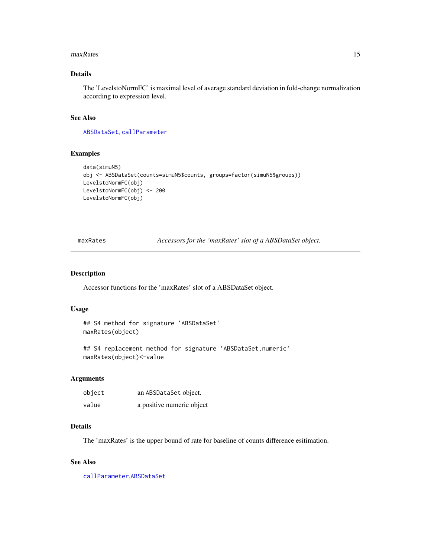#### <span id="page-14-0"></span>maxRates 15

### Details

The 'LevelstoNormFC' is maximal level of average standard deviation in fold-change normalization according to expression level.

#### See Also

[ABSDataSet](#page-1-1), [callParameter](#page-7-1)

#### Examples

```
data(simuN5)
obj <- ABSDataSet(counts=simuN5$counts, groups=factor(simuN5$groups))
LevelstoNormFC(obj)
LevelstoNormFC(obj) <- 200
LevelstoNormFC(obj)
```
maxRates *Accessors for the 'maxRates' slot of a ABSDataSet object.*

#### Description

Accessor functions for the 'maxRates' slot of a ABSDataSet object.

#### Usage

```
## S4 method for signature 'ABSDataSet'
maxRates(object)
```
## S4 replacement method for signature 'ABSDataSet, numeric' maxRates(object)<-value

### Arguments

| object | an ABSDataSet object.     |
|--------|---------------------------|
| value  | a positive numeric object |

#### Details

The 'maxRates' is the upper bound of rate for baseline of counts difference esitimation.

### See Also

[callParameter](#page-7-1),[ABSDataSet](#page-1-1)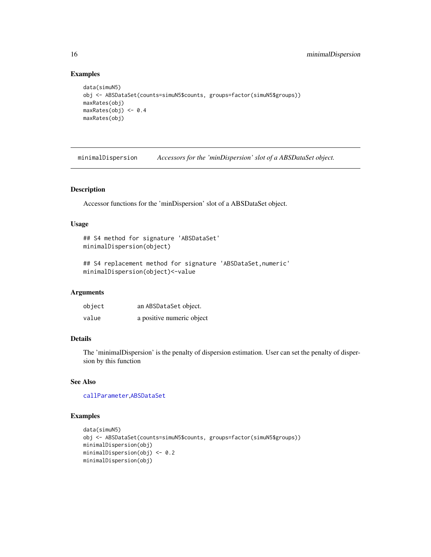### Examples

```
data(simuN5)
obj <- ABSDataSet(counts=simuN5$counts, groups=factor(simuN5$groups))
maxRates(obj)
maxRates(obj) <- 0.4
maxRates(obj)
```
minimalDispersion *Accessors for the 'minDispersion' slot of a ABSDataSet object.*

### Description

Accessor functions for the 'minDispersion' slot of a ABSDataSet object.

### Usage

```
## S4 method for signature 'ABSDataSet'
minimalDispersion(object)
```

```
## S4 replacement method for signature 'ABSDataSet, numeric'
minimalDispersion(object)<-value
```
#### Arguments

| object | an ABSDataSet object.     |
|--------|---------------------------|
| value  | a positive numeric object |

#### Details

The 'minimalDispersion' is the penalty of dispersion estimation. User can set the penalty of dispersion by this function

### See Also

[callParameter](#page-7-1),[ABSDataSet](#page-1-1)

```
data(simuN5)
obj <- ABSDataSet(counts=simuN5$counts, groups=factor(simuN5$groups))
minimalDispersion(obj)
minimalDispersion(obj) <- 0.2
minimalDispersion(obj)
```
<span id="page-15-0"></span>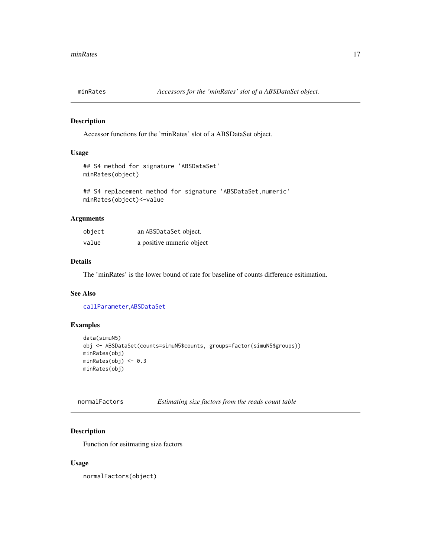<span id="page-16-0"></span>

Accessor functions for the 'minRates' slot of a ABSDataSet object.

#### Usage

```
## S4 method for signature 'ABSDataSet'
minRates(object)
```

```
## S4 replacement method for signature 'ABSDataSet, numeric'
minRates(object)<-value
```
#### Arguments

| object | an ABSDataSet object.     |
|--------|---------------------------|
| value  | a positive numeric object |

#### Details

The 'minRates' is the lower bound of rate for baseline of counts difference esitimation.

#### See Also

[callParameter](#page-7-1),[ABSDataSet](#page-1-1)

### Examples

```
data(simuN5)
obj <- ABSDataSet(counts=simuN5$counts, groups=factor(simuN5$groups))
minRates(obj)
minRates(obj) <- 0.3
minRates(obj)
```
<span id="page-16-1"></span>normalFactors *Estimating size factors from the reads count table*

### Description

Function for esitmating size factors

#### Usage

normalFactors(object)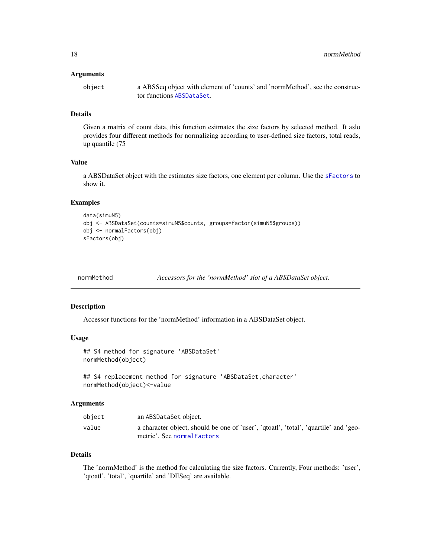#### <span id="page-17-0"></span>Arguments

object a ABSSeq object with element of 'counts' and 'normMethod', see the constructor functions [ABSDataSet](#page-1-1).

### Details

Given a matrix of count data, this function esitmates the size factors by selected method. It aslo provides four different methods for normalizing according to user-defined size factors, total reads, up quantile (75

### Value

a ABSDataSet object with the estimates size factors, one element per column. Use the [sFactors](#page-23-1) to show it.

#### Examples

```
data(simuN5)
obj <- ABSDataSet(counts=simuN5$counts, groups=factor(simuN5$groups))
obj <- normalFactors(obj)
sFactors(obj)
```
normMethod *Accessors for the 'normMethod' slot of a ABSDataSet object.*

#### Description

Accessor functions for the 'normMethod' information in a ABSDataSet object.

#### Usage

## S4 method for signature 'ABSDataSet' normMethod(object)

## S4 replacement method for signature 'ABSDataSet, character' normMethod(object)<-value

#### Arguments

| object | an ABSDataSet object.                                                                                              |
|--------|--------------------------------------------------------------------------------------------------------------------|
| value  | a character object, should be one of 'user', 'qtoatl', 'total', 'quartile' and 'geo-<br>metric'. See normalFactors |

#### Details

The 'normMethod' is the method for calculating the size factors. Currently, Four methods: 'user', 'qtoatl', 'total', 'quartile' and 'DESeq' are available.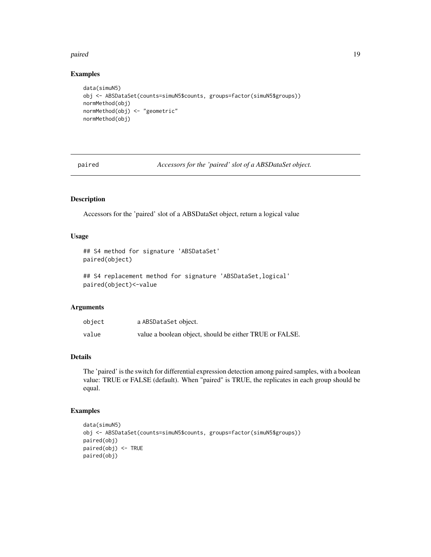#### <span id="page-18-0"></span>paired the contract of the contract of the contract of the contract of the contract of the contract of the contract of the contract of the contract of the contract of the contract of the contract of the contract of the con

#### Examples

```
data(simuN5)
obj <- ABSDataSet(counts=simuN5$counts, groups=factor(simuN5$groups))
normMethod(obj)
normMethod(obj) <- "geometric"
normMethod(obj)
```
paired *Accessors for the 'paired' slot of a ABSDataSet object.*

### Description

Accessors for the 'paired' slot of a ABSDataSet object, return a logical value

### Usage

```
## S4 method for signature 'ABSDataSet'
paired(object)
```

```
## S4 replacement method for signature 'ABSDataSet, logical'
paired(object)<-value
```
#### Arguments

| object | a ABSDataSet object.                                    |
|--------|---------------------------------------------------------|
| value  | value a boolean object, should be either TRUE or FALSE. |

### Details

The 'paired' is the switch for differential expression detection among paired samples, with a boolean value: TRUE or FALSE (default). When "paired" is TRUE, the replicates in each group should be equal.

```
data(simuN5)
obj <- ABSDataSet(counts=simuN5$counts, groups=factor(simuN5$groups))
paired(obj)
paired(obj) <- TRUE
paired(obj)
```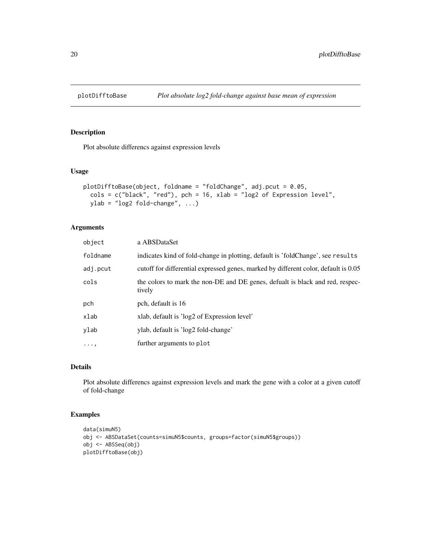<span id="page-19-1"></span><span id="page-19-0"></span>

Plot absolute differencs against expression levels

### Usage

```
plotDifftoBase(object, foldname = "foldChange", adj.pcut = 0.05,
 cols = c("black", "red"), pch = 16, xlab = "log2 of Expression level",
 ylab = "log2 fold-change", ...)
```
### Arguments

| object   | a ABSDataSet                                                                            |
|----------|-----------------------------------------------------------------------------------------|
| foldname | indicates kind of fold-change in plotting, default is 'foldChange', see results         |
| adj.pcut | cutoff for differential expressed genes, marked by different color, default is 0.05     |
| cols     | the colors to mark the non-DE and DE genes, defualt is black and red, respec-<br>tively |
| pch      | pch, default is 16                                                                      |
| xlab     | xlab, default is 'log2 of Expression level'                                             |
| ylab     | ylab, default is 'log2 fold-change'                                                     |
| $\cdots$ | further arguments to plot                                                               |
|          |                                                                                         |

### Details

Plot absolute differencs against expression levels and mark the gene with a color at a given cutoff of fold-change

```
data(simuN5)
obj <- ABSDataSet(counts=simuN5$counts, groups=factor(simuN5$groups))
obj <- ABSSeq(obj)
plotDifftoBase(obj)
```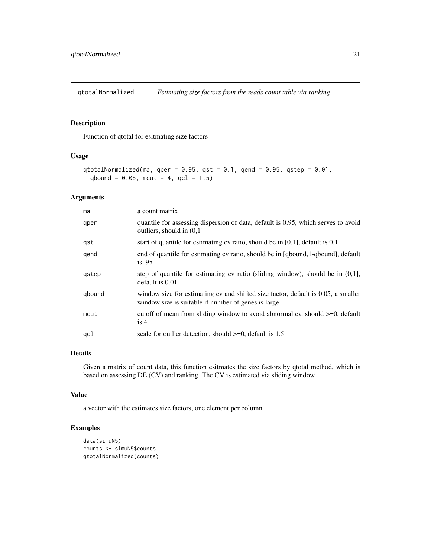<span id="page-20-0"></span>

Function of qtotal for esitmating size factors

### Usage

```
qtotalNormalized(ma, qper = 0.95, qst = 0.1, qend = 0.95, qstep = 0.01,
 qbound = 0.05, mcut = 4, qcl = 1.5)
```
### Arguments

| ma     | a count matrix                                                                                                                            |
|--------|-------------------------------------------------------------------------------------------------------------------------------------------|
| qper   | quantile for assessing dispersion of data, default is 0.95, which serves to avoid<br>outliers, should in $(0,1]$                          |
| gst    | start of quantile for estimating $cv$ ratio, should be in $[0,1]$ , default is 0.1                                                        |
| qend   | end of quantile for estimating cv ratio, should be in [qbound,1-qbound], default<br>is.95                                                 |
| gstep  | step of quantile for estimating cv ratio (sliding window), should be in $(0,1]$ ,<br>default is 0.01                                      |
| qbound | window size for estimating cv and shifted size factor, default is 0.05, a smaller<br>window size is suitable if number of genes is large. |
| mcut   | cutoff of mean from sliding window to avoid abnormal cv, should $>=0$ , default<br>is 4                                                   |
| qcl    | scale for outlier detection, should $>=0$ , default is 1.5                                                                                |

### Details

Given a matrix of count data, this function esitmates the size factors by qtotal method, which is based on assessing DE (CV) and ranking. The CV is estimated via sliding window.

### Value

a vector with the estimates size factors, one element per column

```
data(simuN5)
counts <- simuN5$counts
qtotalNormalized(counts)
```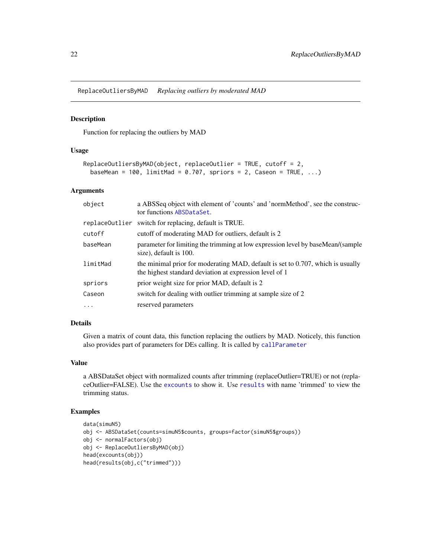<span id="page-21-1"></span><span id="page-21-0"></span>ReplaceOutliersByMAD *Replacing outliers by moderated MAD*

#### Description

Function for replacing the outliers by MAD

### Usage

```
ReplaceOutliersByMAD(object, replaceOutlier = TRUE, cutoff = 2,
 baseMean = 100, limitMad = 0.707, spriors = 2, Caseon = TRUE, ...)
```
#### Arguments

| object         | a ABSSeq object with element of 'counts' and 'normMethod', see the construc-<br>tor functions ABSDataSet.                                  |
|----------------|--------------------------------------------------------------------------------------------------------------------------------------------|
| replaceOutlier | switch for replacing, default is TRUE.                                                                                                     |
| cutoff         | cutoff of moderating MAD for outliers, default is 2                                                                                        |
| baseMean       | parameter for limiting the trimming at low expression level by baseMean/(sample<br>size), default is 100.                                  |
| limitMad       | the minimal prior for moderating MAD, default is set to 0.707, which is usually<br>the highest standard deviation at expression level of 1 |
| spriors        | prior weight size for prior MAD, default is 2                                                                                              |
| Caseon         | switch for dealing with outlier trimming at sample size of 2                                                                               |
| $\cdot$        | reserved parameters                                                                                                                        |

### Details

Given a matrix of count data, this function replacing the outliers by MAD. Noticely, this function also provides part of parameters for DEs calling. It is called by [callParameter](#page-7-1)

### Value

a ABSDataSet object with normalized counts after trimming (replaceOutlier=TRUE) or not (replaceOutlier=FALSE). Use the [excounts](#page-11-2) to show it. Use [results](#page-22-1) with name 'trimmed' to view the trimming status.

```
data(simuN5)
obj <- ABSDataSet(counts=simuN5$counts, groups=factor(simuN5$groups))
obj <- normalFactors(obj)
obj <- ReplaceOutliersByMAD(obj)
head(excounts(obj))
head(results(obj,c("trimmed")))
```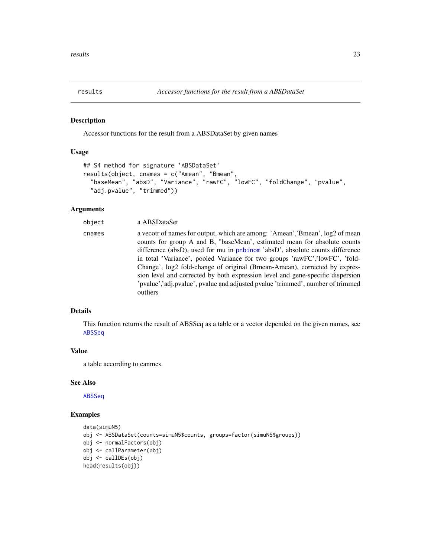<span id="page-22-1"></span><span id="page-22-0"></span>

Accessor functions for the result from a ABSDataSet by given names

#### Usage

```
## S4 method for signature 'ABSDataSet'
results(object, cnames = c("Amean", "Bmean",
  "baseMean", "absD", "Variance", "rawFC", "lowFC", "foldChange", "pvalue",
  "adj.pvalue", "trimmed"))
```
### Arguments

| object | a ABSDataSet                                                                                                                                                                                                                                                                                                                                                                                                                                                                                                                                                                             |
|--------|------------------------------------------------------------------------------------------------------------------------------------------------------------------------------------------------------------------------------------------------------------------------------------------------------------------------------------------------------------------------------------------------------------------------------------------------------------------------------------------------------------------------------------------------------------------------------------------|
| cnames | a vecotr of names for output, which are among: 'Amean', 'Bmean', $log2$ of mean<br>counts for group A and B, "baseMean', estimated mean for absolute counts<br>difference (absD), used for mu in pnbinom 'absD', absolute counts difference<br>in total 'Variance', pooled Variance for two groups 'rawFC','lowFC', 'fold-<br>Change', log2 fold-change of original (Bmean-Amean), corrected by expres-<br>sion level and corrected by both expression level and gene-specific dispersion<br>'pvalue','adj.pvalue', pvalue and adjusted pvalue 'trimmed', number of trimmed'<br>outliers |
|        |                                                                                                                                                                                                                                                                                                                                                                                                                                                                                                                                                                                          |

### Details

This function returns the result of ABSSeq as a table or a vector depended on the given names, see [ABSSeq](#page-2-1)

#### Value

a table according to canmes.

#### See Also

[ABSSeq](#page-2-1)

```
data(simuN5)
obj <- ABSDataSet(counts=simuN5$counts, groups=factor(simuN5$groups))
obj <- normalFactors(obj)
obj <- callParameter(obj)
obj <- callDEs(obj)
head(results(obj))
```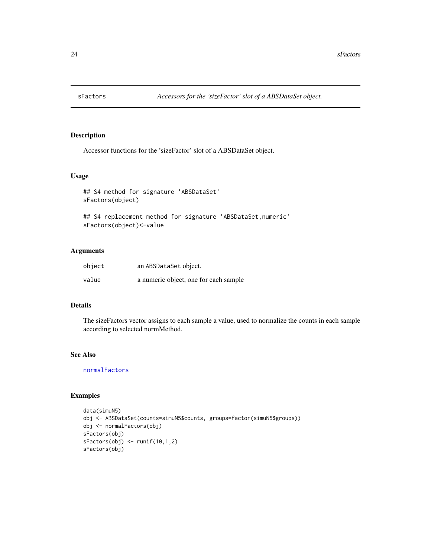<span id="page-23-1"></span><span id="page-23-0"></span>

Accessor functions for the 'sizeFactor' slot of a ABSDataSet object.

#### Usage

```
## S4 method for signature 'ABSDataSet'
sFactors(object)
```

```
## S4 replacement method for signature 'ABSDataSet, numeric'
sFactors(object)<-value
```
### Arguments

| object | an ABSDataSet object.                 |
|--------|---------------------------------------|
| value  | a numeric object, one for each sample |

### Details

The sizeFactors vector assigns to each sample a value, used to normalize the counts in each sample according to selected normMethod.

#### See Also

[normalFactors](#page-16-1)

```
data(simuN5)
obj <- ABSDataSet(counts=simuN5$counts, groups=factor(simuN5$groups))
obj <- normalFactors(obj)
sFactors(obj)
sFactors(obj) <- runif(10,1,2)
sFactors(obj)
```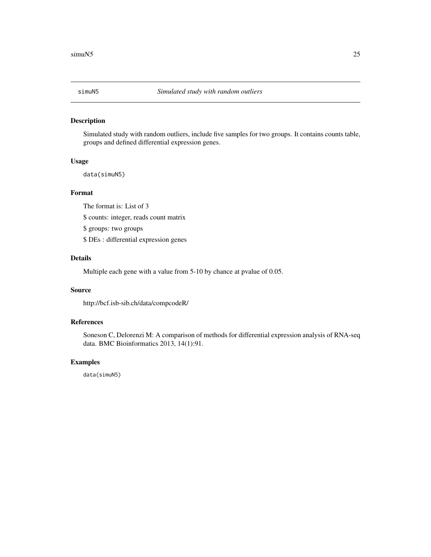<span id="page-24-0"></span>

Simulated study with random outliers, include five samples for two groups. It contains counts table, groups and defined differential expression genes.

#### Usage

data(simuN5)

### Format

The format is: List of 3

\$ counts: integer, reads count matrix

\$ groups: two groups

\$ DEs : differential expression genes

### Details

Multiple each gene with a value from 5-10 by chance at pvalue of 0.05.

### Source

http://bcf.isb-sib.ch/data/compcodeR/

### References

Soneson C, Delorenzi M: A comparison of methods for differential expression analysis of RNA-seq data. BMC Bioinformatics 2013, 14(1):91.

#### Examples

data(simuN5)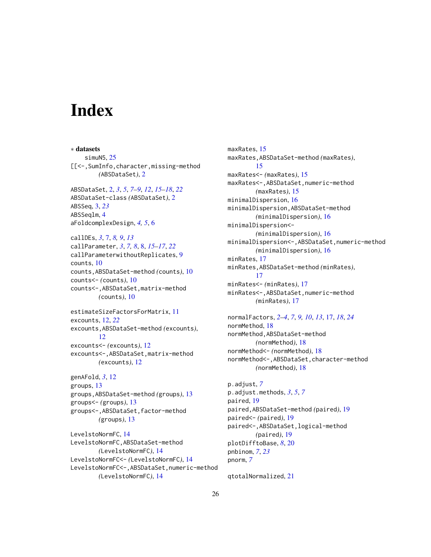## <span id="page-25-0"></span>**Index**

∗ datasets simuN5, [25](#page-24-0) [[<-,SumInfo,character,missing-method *(*ABSDataSet*)*, [2](#page-1-0) ABSDataSet, [2,](#page-1-0) *[3](#page-2-0)*, *[5](#page-4-0)*, *[7](#page-6-0)[–9](#page-8-0)*, *[12](#page-11-0)*, *[15–](#page-14-0)[18](#page-17-0)*, *[22](#page-21-0)* ABSDataSet-class *(*ABSDataSet*)*, [2](#page-1-0) ABSSeq, [3,](#page-2-0) *[23](#page-22-0)* ABSSeqlm, [4](#page-3-0) aFoldcomplexDesign, *[4,](#page-3-0) [5](#page-4-0)*, [6](#page-5-0) callDEs, *[3](#page-2-0)*, [7,](#page-6-0) *[8,](#page-7-0) [9](#page-8-0)*, *[13](#page-12-0)* callParameter, *[3](#page-2-0)*, *[7,](#page-6-0) [8](#page-7-0)*, [8,](#page-7-0) *[15–](#page-14-0)[17](#page-16-0)*, *[22](#page-21-0)* callParameterwithoutReplicates, [9](#page-8-0) counts, [10](#page-9-0) counts,ABSDataSet-method *(*counts*)*, [10](#page-9-0) counts<- *(*counts*)*, [10](#page-9-0) counts<-,ABSDataSet,matrix-method *(*counts*)*, [10](#page-9-0) estimateSizeFactorsForMatrix, [11](#page-10-0) excounts, [12,](#page-11-0) *[22](#page-21-0)* excounts,ABSDataSet-method *(*excounts*)*, [12](#page-11-0) excounts<- *(*excounts*)*, [12](#page-11-0) excounts<-,ABSDataSet,matrix-method *(*excounts*)*, [12](#page-11-0) genAFold, *[3](#page-2-0)*, [12](#page-11-0) groups, [13](#page-12-0) groups,ABSDataSet-method *(*groups*)*, [13](#page-12-0) groups<- *(*groups*)*, [13](#page-12-0) groups<-,ABSDataSet,factor-method *(*groups*)*, [13](#page-12-0) LevelstoNormFC, [14](#page-13-0) LevelstoNormFC,ABSDataSet-method *(*LevelstoNormFC*)*, [14](#page-13-0) LevelstoNormFC<- *(*LevelstoNormFC*)*, [14](#page-13-0) LevelstoNormFC<-,ABSDataSet,numeric-method *(*LevelstoNormFC*)*, [14](#page-13-0)

maxRates, [15](#page-14-0) maxRates,ABSDataSet-method *(*maxRates*)*, [15](#page-14-0) maxRates<- *(*maxRates*)*, [15](#page-14-0) maxRates<-,ABSDataSet,numeric-method *(*maxRates*)*, [15](#page-14-0) minimalDispersion, [16](#page-15-0) minimalDispersion,ABSDataSet-method *(*minimalDispersion*)*, [16](#page-15-0) minimalDispersion<- *(*minimalDispersion*)*, [16](#page-15-0) minimalDispersion<-,ABSDataSet,numeric-method *(*minimalDispersion*)*, [16](#page-15-0) minRates, [17](#page-16-0) minRates,ABSDataSet-method *(*minRates*)*, [17](#page-16-0) minRates<- *(*minRates*)*, [17](#page-16-0) minRates<-,ABSDataSet,numeric-method *(*minRates*)*, [17](#page-16-0)

normalFactors, *[2](#page-1-0)[–4](#page-3-0)*, *[7](#page-6-0)*, *[9,](#page-8-0) [10](#page-9-0)*, *[13](#page-12-0)*, [17,](#page-16-0) *[18](#page-17-0)*, *[24](#page-23-0)* normMethod, [18](#page-17-0) normMethod,ABSDataSet-method *(*normMethod*)*, [18](#page-17-0) normMethod<- *(*normMethod*)*, [18](#page-17-0) normMethod<-,ABSDataSet,character-method *(*normMethod*)*, [18](#page-17-0)

p.adjust, *[7](#page-6-0)* p.adjust.methods, *[3](#page-2-0)*, *[5](#page-4-0)*, *[7](#page-6-0)* paired, [19](#page-18-0) paired,ABSDataSet-method *(*paired*)*, [19](#page-18-0) paired<- *(*paired*)*, [19](#page-18-0) paired<-,ABSDataSet,logical-method *(*paired*)*, [19](#page-18-0) plotDifftoBase, *[8](#page-7-0)*, [20](#page-19-0) pnbinom, *[7](#page-6-0)*, *[23](#page-22-0)* pnorm, *[7](#page-6-0)*

qtotalNormalized, [21](#page-20-0)